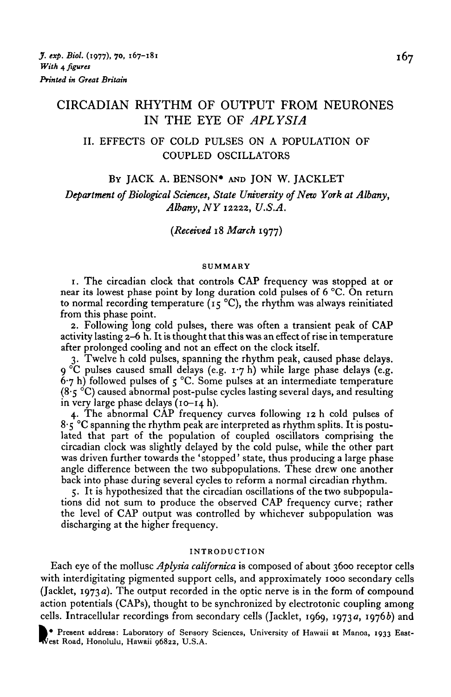# CIRCADIAN RHYTHM OF OUTPUT FROM NEURONES IN THE EYE OF *APLYSIA*

# II. EFFECTS OF COLD PULSES ON A POPULATION OF COUPLED OSCILLATORS

#### BY JACK A. BENSON\* AND JON W. JACKLET

*Department of Biological Sciences, State University of New York at Albany, Albany, NY* 12222, *U.S.A.*

*(Received* 18 *March* 1977)

### SUMMARY

1. The circadian clock that controls CAP frequency was stopped at or near its lowest phase point by long duration cold pulses of 6 °C. On return to normal recording temperature ( $15^{\circ}$ C), the rhythm was always reinitiated from this phase point.

2. Following long cold pulses, there was often a transient peak of CAP activity lasting 2—6 h. It is thought that this was an effect of rise in temperature after prolonged cooling and not an effect on the clock itself.

3. Twelve h cold pulses, spanning the rhythm peak, caused phase delays.  $9^{\circ}$ C pulses caused small delays (e.g. 1.7 h) while large phase delays (e.g.  $6.7$  h) followed pulses of  $5^{\degree}$ C. Some pulses at an intermediate temperature  $(8.5 \degree C)$  caused abnormal post-pulse cycles lasting several days, and resulting in very large phase delays  $(10-14 h)$ .

4. The abnormal CAP frequency curves following 12 h cold pulses of  $8.5$  °C spanning the rhythm peak are interpreted as rhythm splits. It is postulated that part of the population of coupled oscillators comprising the circadian clock was slightly delayed by the cold pulse, while the other part was driven further towards the 'stopped' state, thus producing a large phase angle difference between the two subpopulations. These drew one another back into phase during several cycles to reform a normal circadian rhythm.

5. It is hypothesized that the circadian oscillations of the two subpopulations did not sum to produce the observed CAP frequency curve; rather the level of CAP output was controlled by whichever subpopulation was discharging at the higher frequency.

### INTRODUCTION

Each eye of the mollusc *Aplysia californica* is composed of about 3600 receptor cells with interdigitating pigmented support cells, and approximately 1000 secondary cells (Jacklet, 1973 a). The output recorded in the optic nerve is in the form of compound action potentials (CAPs), thought to be synchronized by electrotonic coupling among cells. Intracellular recordings from secondary cells (Jacklet, 1969, 1973a, 1976b) and

Present address: Laboratory of Sensory Sciences, University of Hawaii at Manoa, 1933 East- **I** est Road, Honolulu, Hawaii 96822, U.S.A.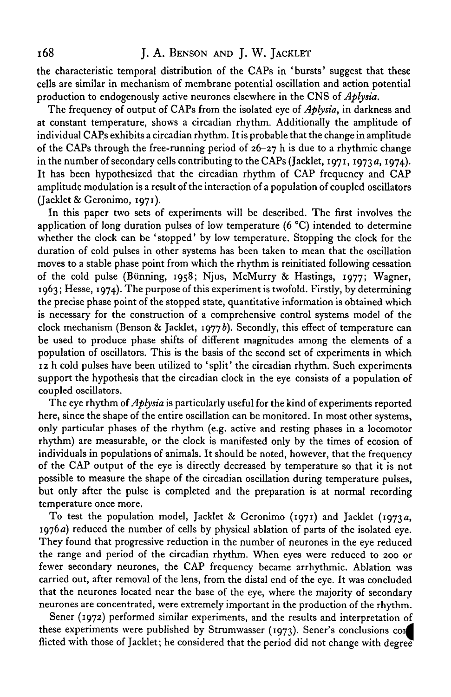# 168 **J. A. BENSON AND J. W. JACKLET**

the characteristic temporal distribution of the CAPs in 'bursts' suggest that these cells are similar in mechanism of membrane potential oscillation and action potential production to endogenously active neurones elsewhere in the CNS of *Aplysia.*

The frequency of output of CAPs from the isolated eye of *Aplysia,* in darkness and at constant temperature, shows a circadian rhythm. Additionally the amplitude of individual CAPs exhibits a circadian rhythm. It is probable that the change in amplitude of the CAPs through the free-running period of  $26-27$  h is due to a rhythmic change in the number of secondary cells contributing to the CAPs (Jacklet, 1971, 1973a, 1974). It has been hypothesized that the circadian rhythm of CAP frequency and CAP amplitude modulation is a result of the interaction of a population of coupled oscillators (Jacklet & Geronimo, 1971).

In this paper two sets of experiments will be described. The first involves the application of long duration pulses of low temperature (6 °C) intended to determine whether the clock can be 'stopped' by low temperature. Stopping the clock for the duration of cold pulses in other systems has been taken to mean that the oscillation moves to a stable phase point from which the rhythm is reinitiated following cessation of the cold pulse (Biinning, 1958; Njus, McMurry & Hastings, 1977; Wagner, 1963; Hesse, 1974). The purpose of this experiment is twofold. Firstly, by determining the precise phase point of the stopped state, quantitative information is obtained which is necessary for the construction of a comprehensive control systems model of the clock mechanism (Benson & Jacklet, 19776). Secondly, this effect of temperature can be used to produce phase shifts of different magnitudes among the elements of a population of oscillators. This is the basis of the second set of experiments in which 12 h cold pulses have been utilized to 'split' the circadian rhythm. Such experiments support the hypothesis that the circadian clock in the eye consists of a population of coupled oscillators.

The eye rhythm of *Aplysia* is particularly useful for the kind of experiments reported here, since the shape of the entire oscillation can be monitored. In most other systems, only particular phases of the rhythm (e.g. active and resting phases in a locomotor rhythm) are measurable, or the clock is manifested only by the times of ecosion of individuals in populations of animals. It should be noted, however, that the frequency of the CAP output of the eye is directly decreased by temperature so that it is not possible to measure the shape of the circadian oscillation during temperature pulses, but only after the pulse is completed and the preparation is at normal recording temperature once more.

To test the population model, Jacklet & Geronimo (1971) and Jacklet (1973 a, 1976a) reduced the number of cells by physical ablation of parts of the isolated eye. They found that progressive reduction in the number of neurones in the eye reduced the range and period of the circadian rhythm. When eyes were reduced to 200 or fewer secondary neurones, the CAP frequency became arrhythmic. Ablation was carried out, after removal of the lens, from the distal end of the eye. It was concluded that the neurones located near the base of the eye, where the majority of secondary neurones are concentrated, were extremely important in the production of the rhythm.

Sener (1972) performed similar experiments, and the results and interpretation of these experiments were published by Strumwasser (1973). Sener's conclusions cor^ flicted with those of Jacklet; he considered that the period did not change with degree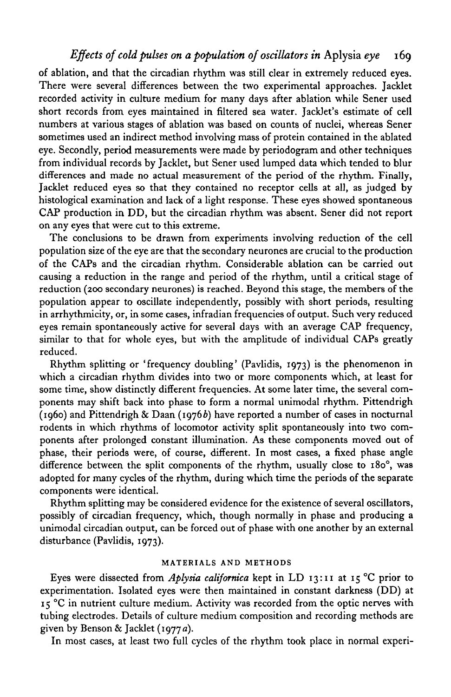# *Effects of cold pulses on a population of oscillators in* Aplysia *eye* 169

of ablation, and that the circadian rhythm was still clear in extremely reduced eyes. There were several differences between the two experimental approaches. Jacklet recorded activity in culture medium for many days after ablation while Sener used short records from eyes maintained in filtered sea water. JackJet's estimate of cell numbers at various stages of ablation was based on counts of nuclei, whereas Sener sometimes used an indirect method involving mass of protein contained in the ablated eye. Secondly, period measurements were made by periodogram and other techniques from individual records by Jacklet, but Sener used lumped data which tended to blur differences and made no actual measurement of the period of the rhythm. Finally, Jacklet reduced eyes so that they contained no receptor cells at all, as judged by histological examination and lack of a light response. These eyes showed spontaneous CAP production in DD, but the circadian rhythm was absent. Sener did not report on any eyes that were cut to this extreme.

The conclusions to be drawn from experiments involving reduction of the cell population size of the eye are that the secondary neurones are crucial to the production of the CAPs and the circadian rhythm. Considerable ablation can be carried out causing a reduction in the range and period of the rhythm, until a critical stage of reduction (200 secondary neurones) is reached. Beyond this stage, the members of the population appear to oscillate independently, possibly with short periods, resulting in arrhythmicity, or, in some cases, infradian frequencies of output. Such very reduced eyes remain spontaneously active for several days with an average CAP frequency, similar to that for whole eyes, but with the amplitude of individual CAPs greatly reduced.

Rhythm splitting or 'frequency doubling' (Pavlidis, 1973) is the phenomenon in which a circadian rhythm divides into two or more components which, at least for some time, show distinctly different frequencies. At some later time, the several components may shift back into phase to form a normal unimodal rhythm. Pittendrigh (1960) and Pittendrigh & Daan (1976 $b$ ) have reported a number of cases in nocturnal rodents in which rhythms of locomotor activity split spontaneously into two components after prolonged constant illumination. As these components moved out of phase, their periods were, of course, different. In most cases, a fixed phase angle difference between the split components of the rhythm, usually close to 180°, was adopted for many cycles of the rhythm, during which time the periods of the separate components were identical.

Rhythm splitting may be considered evidence for the existence of several oscillators, possibly of circadian frequency, which, though normally in phase and producing a unimodal circadian output, can be forced out of phase with one another by an external disturbance (Pavlidis, 1973).

#### **MATERIALS AND METHODS**

Eyes were dissected from *Aplysia californica* kept in LD 13:11 at 15 °C prior to experimentation. Isolated eyes were then maintained in constant darkness (DD) at 15 °C in nutrient culture medium. Activity was recorded from the optic nerves with tubing electrodes. Details of culture medium composition and recording methods are given by Benson & Jacklet (1977 a).

In most cases, at least two full cycles of the rhythm took place in normal experi-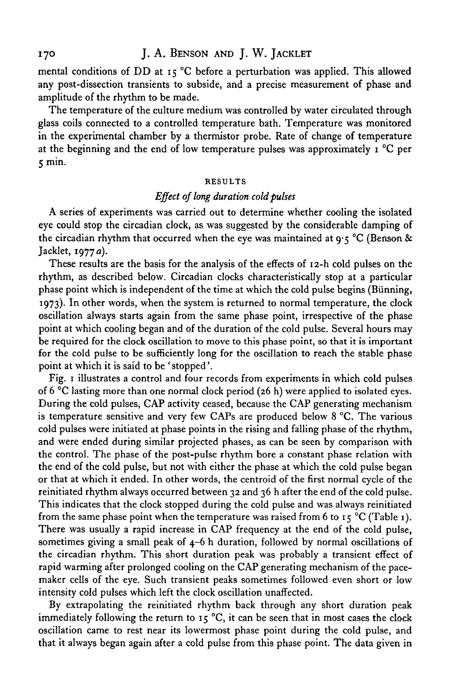mental conditions of DD at 15 °C before a perturbation was applied. This allowed any post-dissection transients to subside, and a precise measurement of phase and amplitude of the rhythm to be made.

The temperature of the culture medium was controlled by water circulated through glass coils connected to a controlled temperature bath. Temperature was monitored in the experimental chamber by a thermistor probe. Rate of change of temperature at the beginning and the end of low temperature pulses was approximately  $\mathbf{r}^{\circ}$ C per 5 min.

#### **RESULTS**

### *Effect of long duration cold pulses*

A series of experiments was carried out to determine whether cooling the isolated eye could stop the circadian clock, as was suggested by the considerable damping of the circadian rhythm that occurred when the eye was maintained at  $9.5 \text{ °C}$  (Benson & Jacklet, 1977 a).

These results are the basis for the analysis of the effects of 12-h cold pulses on the rhythm, as described below. Circadian clocks characteristically stop at a particular phase point which is independent of the time at which the cold pulse begins (Bunning, 1973). In other words, when the system is returned to normal temperature, the clock oscillation always starts again from the same phase point, irrespective of the phase point at which cooling began and of the duration of the cold pulse. Several hours may be required for the clock oscillation to move to this phase point, so that it is important for the cold pulse to be sufficiently long for the oscillation to reach the stable phase point at which it is said to be 'stopped'.

Fig. 1 illustrates a control and four records from experiments in which cold pulses of 6 °C lasting more than one normal clock period (26 h) were applied to isolated eyes. During the cold pulses, CAP activity ceased, because the CAP generating mechanism is temperature sensitive and very few CAPs are produced below 8 °C. The various cold pulses were initiated at phase points in the rising and falling phase of the rhythm, and were ended during similar projected phases, as can be seen by comparison with the control. The phase of the post-pulse rhythm bore a constant phase relation with the end of the cold pulse, but not with either the phase at which the cold pulse began or that at which it ended. In other words, the centroid of the first normal cycle of the reinitiated rhythm always occurred between 32 and 36 h after the end of the cold pulse. This indicates that the clock stopped during the cold pulse and was always reinitiated from the same phase point when the temperature was raised from 6 to 15 °C (Table 1). There was usually a rapid increase in CAP frequency at the end of the cold pulse, sometimes giving a small peak of 4-6 h duration, followed by normal oscillations of the circadian rhythm. This short duration peak was probably a transient effect of rapid warming after prolonged cooling on the CAP generating mechanism of the pacemaker cells of the eye. Such transient peaks sometimes followed even short or low intensity cold pulses which left the clock oscillation unaffected.

By extrapolating the reinitiated rhythm back through any short duration peak immediately following the return to 15 °C, it can be seen that in most cases the clock oscillation came to rest near its lowermost phase point during the cold pulse, and that it always began again after a cold pulse from this phase point. The data given in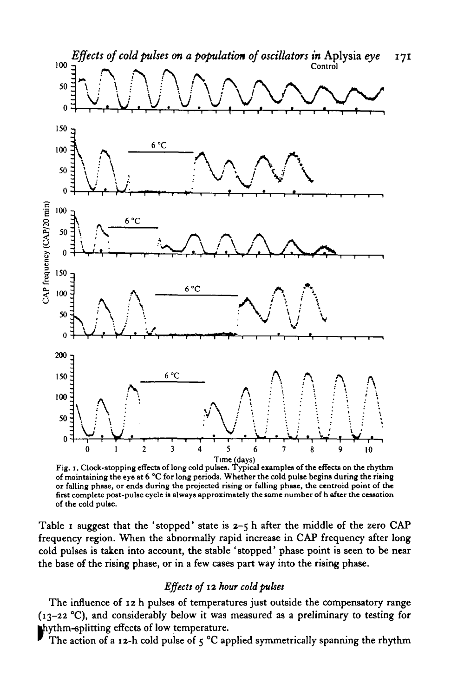

**Fig. 1. Clock-stopping effects of long cold pulses. Typical examples of the effects on the rhythm of maintaining the eye at 6 °C for long periods. Whether the cold pulse begins during the rising or falling phase, or ends during the projected rising or falling phase, the centroid point of the first complete post-pulse cycle is always approximately the same number of h after the cessation of the cold pulse.**

Table I suggest that the 'stopped' state is  $2-5$  h after the middle of the zero CAP frequency region. When the abnormally rapid increase in CAP frequency after long cold pulses is taken into account, the stable 'stopped' phase point is seen to be near the base of the rising phase, or in a few cases part way into the rising phase.

# *Effects of* 12 *hour cold pulses*

The influence of 12 h pulses of temperatures just outside the compensatory range (13-22 °C), and considerably below it was measured as a preliminary to testing for hythm-splitting effects of low temperature.

The action of a 12-h cold pulse of  $5^{\circ}$ C applied symmetrically spanning the rhythm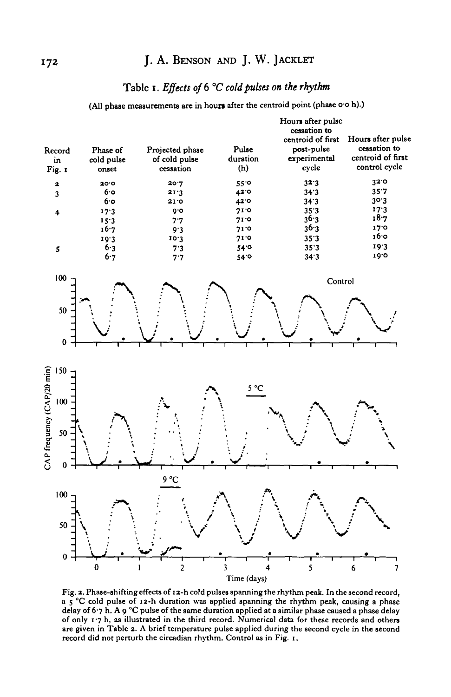# 172 J. A. BENSON AND J. W. JACKLET

# **Table i.** *Effects of 6 °C cold pulses on the rhythm*

**(All phase measurements are in houn after the centroid point (phase o-o h).)**



**Fig. 2. Phase-shifting effects of 12-h cold pulses spanning the rhythm peak. In the second record, a 5 °C cold pulse of 12-h duration was applied spanning the rhythm peak, causing a phase delay of 6 7 h. A 9 °C pulse of the same duration applied at a similar phase caused a phase delay of only 1 -7 h, as illustrated in the third record. Numerical data for these records and others are given in Table 2. A brief temperature pulse applied during the second cycle in the second record did not perturb the circadian rhythm. Control as in Fig. 1.**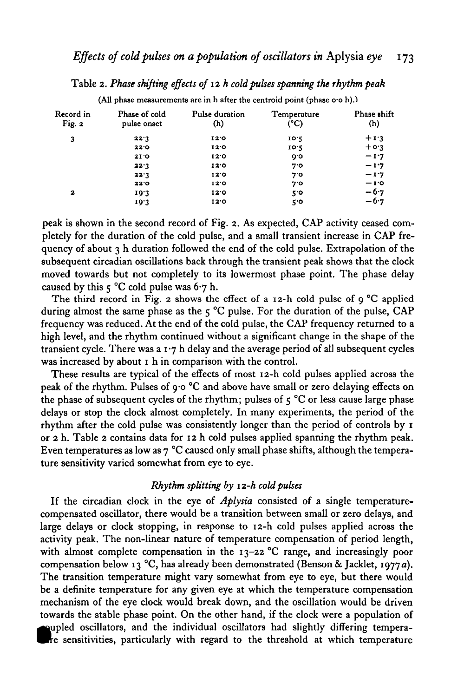Table 2. *Phase shifting effects of* 12 *h cold pulses spanning the rhythm peak*

| Record in<br>Fig. 2 | Phase of cold<br>pulse onset | Pulse duration<br>(h) | Temperature<br>(°C) | Phase shift<br>(h) |
|---------------------|------------------------------|-----------------------|---------------------|--------------------|
| 3                   | 22.3                         | 12.0                  | 10.5                | $+1.3$             |
|                     | 22.0                         | 120                   | 10.2                | $+$ 0.3            |
|                     | 2I'                          | 12.0                  | 0.6                 | $-1.7$             |
|                     | 22.3                         | 12.0                  | 7.0                 | $-1.7$             |
|                     | 22.3                         | 12.0                  | 7.0                 | $-1.7$             |
|                     | 22.0                         | 12.0                  | 7.0                 | $-1.0$             |
| 2                   | 19.3                         | 12.0                  | 5.0                 | $-6.7$             |
|                     | 19.3                         | 12'0                  | 5.0                 | $-6.7$             |

(All phase measurements are in h after the centroid point (phase o.o h).)

peak is shown in the second record of Fig. 2. As expected, CAP activity ceased completely for the duration of the cold pulse, and a small transient increase in CAP frequency of about  $3$  h duration followed the end of the cold pulse. Extrapolation of the subsequent circadian oscillations back through the transient peak shows that the clock moved towards but not completely to its lowermost phase point. The phase delay caused by this  $\zeta$  °C cold pulse was 6.7 h.

The third record in Fig. 2 shows the effect of a 12-h cold pulse of 9 °C applied during almost the same phase as the 5 °C pulse. For the duration of the pulse, CAP frequency was reduced. At the end of the cold pulse, the CAP frequency returned to a high level, and the rhythm continued without a significant change in the shape of the transient cycle. There was a  $1.7 h$  delay and the average period of all subsequent cycles was increased by about 1 h in comparison with the control.

These results are typical of the effects of most 12-h cold pulses applied across the peak of the rhythm. Pulses of  $9.0 \degree C$  and above have small or zero delaying effects on the phase of subsequent cycles of the rhythm; pulses of  $5^{\circ}$ C or less cause large phase delays or stop the clock almost completely. In many experiments, the period of the rhythm after the cold pulse was consistently longer than the period of controls by 1 or 2 h. Table 2 contains data for 12 h cold pulses applied spanning the rhythm peak. Even temperatures as low as 7 °C caused only small phase shifts, although the temperature sensitivity varied somewhat from eye to eye.

### *Rhythm splitting by 12-h cold pulses*

If the circadian clock in the eye of *Aplysia* consisted of a single temperaturecompensated oscillator, there would be a transition between small or zero delays, and large delays or clock stopping, in response to 12-h cold pulses applied across the activity peak. The non-linear nature of temperature compensation of period length, with almost complete compensation in the 13-22 °C range, and increasingly poor compensation below 13 °C, has already been demonstrated (Benson & Jacklet, 1977a). The transition temperature might vary somewhat from eye to eye, but there would be a definite temperature for any given eye at which the temperature compensation mechanism of the eye clock would break down, and the oscillation would be driven towards the stable phase point. On the other hand, if the clock were a population of • upled oscillators, and the individual oscillators had slightly differing temperare sensitivities, particularly with regard to the threshold at which temperature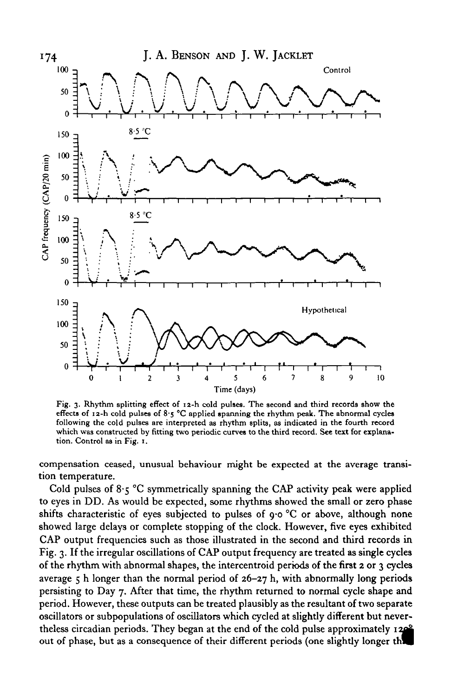

Fig. 3. Rhythm splitting effect of 12-h cold pulses. The second and third records show the effects of  $12-h$  cold pulses of  $8.5$  °C applied spanning the rhythm peak. The abnormal cycles following the cold pulses are interpreted as rhythm splits, as indicated in the fourth record which was constructed by fitting two periodic curves to the third record. See text for explanation. Control as in Fig. 1.

compensation ceased, unusual behaviour might be expected at the average transition temperature.

Cold pulses of  $8.5$  °C symmetrically spanning the CAP activity peak were applied to eyes in DD. As would be expected, some rhythms showed the small or zero phase shifts characteristic of eyes subjected to pulses of 9-0 °C or above, although none showed large delays or complete stopping of the clock. However, five eyes exhibited CAP output frequencies such as those illustrated in the second and third records in Fig. 3. If the irregular oscillations of CAP output frequency are treated as single cycles of the rhythm with abnormal shapes, the intercentroid periods of the first 2 or 3 cycles average  $5$  h longer than the normal period of  $26-27$  h, with abnormally long periods persisting to Day 7. After that time, the rhythm returned to normal cycle shape and period. However, these outputs can be treated plausibly as the resultant of two separate oscillators or subpopulations of oscillators which cycled at slightly different but nevertheless circadian periods. They began at the end of the cold pulse approximately 120<sup>2</sup> out of phase, but as a consequence of their different periods (one slightly longer the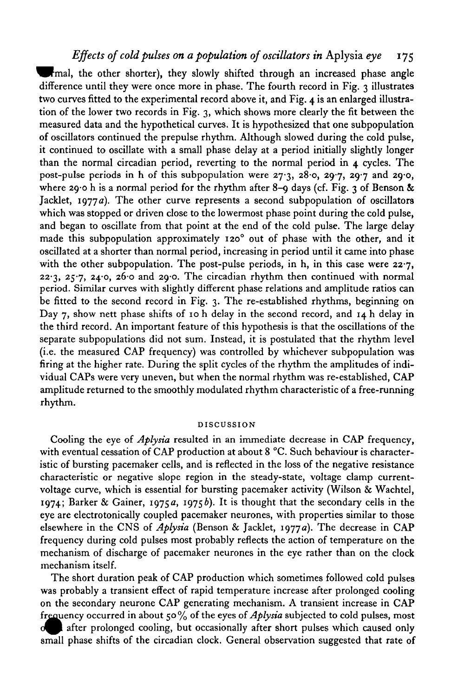# *Effects of cold pulses on a population of oscillators in* Aplysia *eye* 175

fmal, the other shorter), they slowly shifted through an increased phase angle difference until they were once more in phase. The fourth record in Fig. 3 illustrates two curves fitted to the experimental record above it, and Fig. 4 is an enlarged illustration of the lower two records in Fig. 3, which shows more clearly the fit between the measured data and the hypothetical curves. It is hypothesized that one subpopulation of oscillators continued the prepulse rhythm. Although slowed during the cold pulse, it continued to oscillate with a small phase delay at a period initially slightly longer than the normal circadian period, reverting to the normal period in 4 cycles. The post-pulse periods in h of this subpopulation were 27-3, 28-0, 29-7, 29-7 and 29-0, where 29.0 h is a normal period for the rhythm after 8-9 days (cf. Fig. 3 of Benson  $\&$ Jacklet,  $1977a$ . The other curve represents a second subpopulation of oscillators which was stopped or driven close to the lowermost phase point during the cold pulse, and began to oscillate from that point at the end of the cold pulse. The large delay made this subpopulation approximately 120° out of phase with the other, and it oscillated at a shorter than normal period, increasing in period until it came into phase with the other subpopulation. The post-pulse periods, in h, in this case were  $22.7$ ,  $22.3$ ,  $25.7$ ,  $24.0$ ,  $26.0$  and  $29.0$ . The circadian rhythm then continued with normal period. Similar curves with slightly different phase relations and amplitude ratios can be fitted to the second record in Fig. 3. The re-established rhythms, beginning on Day 7, show nett phase shifts of 10 h delay in the second record, and 14 h delay in the third record. An important feature of this hypothesis is that the oscillations of the separate subpopulations did not sum. Instead, it is postulated that the rhythm level (i.e. the measured CAP frequency) was controlled by whichever subpopulation was firing at the higher rate. During the split cycles of the rhythm the amplitudes of individual CAPs were very uneven, but when the normal rhythm was re-established, CAP amplitude returned to the smoothly modulated rhythm characteristic of a free-running rhythm.

#### DISCUSSION

Cooling the eye of *Aplysia* resulted in an immediate decrease in CAP frequency, with eventual cessation of CAP production at about 8 °C. Such behaviour is characteristic of bursting pacemaker cells, and is reflected in the loss of the negative resistance characteristic or negative slope region in the steady-state, voltage clamp currentvoltage curve, which is essential for bursting pacemaker activity (Wilson & Wachtel, 1974; Barker & Gainer, 1975a, 1975b). It is thought that the secondary cells in the eye are electrotonically coupled pacemaker neurones, with properties similar to those elsewhere in the CNS of *Aplysia* (Benson & Jacklet, 1977a). The decrease in CAP frequency during cold pulses most probably reflects the action of temperature on the mechanism of discharge of pacemaker neurones in the eye rather than on the clock mechanism itself.

The short duration peak of CAP production which sometimes followed cold pulses was probably a transient effect of rapid temperature increase after prolonged cooling on the secondary neurone CAP generating mechanism. A transient increase in CAP frequency occurred in about 50% of the eyes of *Aplysia* subjected to cold pulses, most **d** after prolonged cooling, but occasionally after short pulses which caused only small phase shifts of the circadian clock. General observation suggested that rate of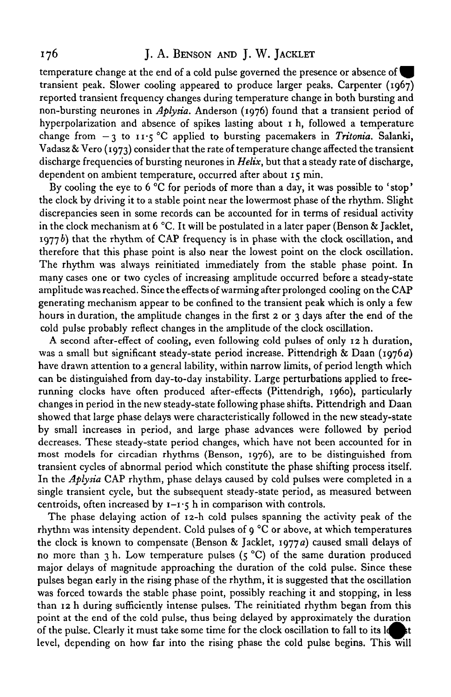# 176 **J. A. BENSON AND J. W. JACKLET**

temperature change at the end of a cold pulse governed the presence or absence of transient peak. Slower cooling appeared to produce larger peaks. Carpenter (1967) reported transient frequency changes during temperature change in both bursting and non-bursting neurones in *Aplysia.* Anderson (1976) found that a transient period of hyperpolarization and absence of spikes lasting about 1 h, followed a temperature change from  $-3$  to  $11.5$  °C applied to bursting pacemakers in *Tritonia*. Salanki, Vadasz & Vero (1973) consider that the rate of temperature change affected the transient discharge frequencies of bursting neurones in *Helix,* but that a steady rate of discharge, dependent on ambient temperature, occurred after about 15 min.

By cooling the eye to 6 °C for periods of more than a day, it was possible to 'stop' the clock by driving it to a stable point near the lowermost phase of the rhythm. Slight discrepancies seen in some records can be accounted for in terms of residual activity in the clock mechanism at  $6^{\circ}$ C. It will be postulated in a later paper (Benson & Jacklet,  $1977b$ ) that the rhythm of CAP frequency is in phase with the clock oscillation, and therefore that this phase point is also near the lowest point on the clock oscillation. The rhythm was always reinitiated immediately from the stable phase point. In many cases one or two cycles of increasing amplitude occurred before a steady-state amplitude was reached. Since the effects of warming after prolonged cooling on the CAP generating mechanism appear to be confined to the transient peak which is only a few hours in duration, the amplitude changes in the first  $\alpha$  or  $\alpha$  days after the end of the cold pulse probably reflect changes in the amplitude of the clock oscillation.

A second after-effect of cooling, even following cold pulses of only 12 h duration, was a small but significant steady-state period increase. Pittendrigh & Daan (1976 a) have drawn attention to a general lability, within narrow limits, of period length which can be distinguished from day-to-day instability. Large perturbations applied to freerunning clocks have often produced after-effects (Pittendrigh, i960), particularly changes in period in the new steady-state following phase shifts. Pittendrigh and Daan showed that large phase delays were characteristically followed in the new steady-state by small increases in period, and large phase advances were followed by period decreases. These steady-state period changes, which have not been accounted for in most models for circadian rhythms (Benson, 1976), are to be distinguished from transient cycles of abnormal period which constitute the phase shifting process itself. In the *Aplysia* CAP rhythm, phase delays caused by cold pulses were completed in a single transient cycle, but the subsequent steady-state period, as measured between centroids, often increased by  $1 - 1$ ;  $\frac{1}{2}$  h in comparison with controls.

The phase delaying action of 12-h cold pulses spanning the activity peak of the rhythm was intensity dependent. Cold pulses of  $\varphi$  °C or above, at which temperatures the clock is known to compensate (Benson & Jacklet, 1977a) caused small delays of no more than 3 h. Low temperature pulses  $(5^{\degree}C)$  of the same duration produced major delays of magnitude approaching the duration of the cold pulse. Since these pulses began early in the rising phase of the rhythm, it is suggested that the oscillation was forced towards the stable phase point, possibly reaching it and stopping, in less than 12 h during sufficiently intense pulses. The reinitiated rhythm began from this point at the end of the cold pulse, thus being delayed by approximately the duration of the pulse. Clearly it must take some time for the clock oscillation to fall to its let level, depending on how far into the rising phase the cold pulse begins. This will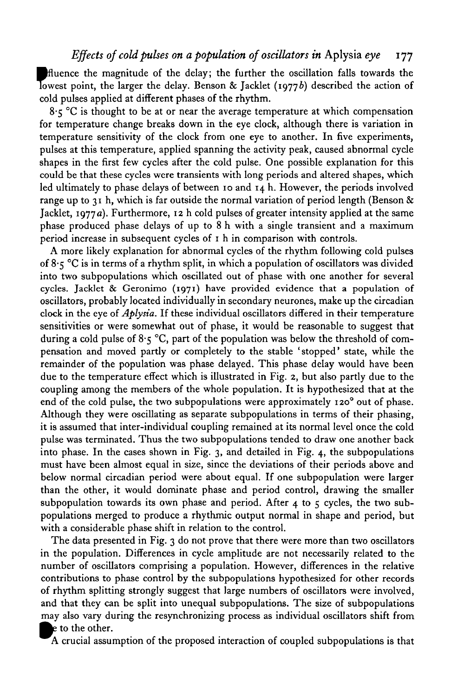Bfluence the magnitude of the delay; the further the oscillation falls towards the Iowest point, the larger the delay. Benson & Jacklet (1977b) described the action of cold pulses applied at different phases of the rhythm.

 $8.5$  °C is thought to be at or near the average temperature at which compensation for temperature change breaks down in the eye clock, although there is variation in temperature sensitivity of the clock from one eye to another. In five experiments, pulses at this temperature, applied spanning the activity peak, caused abnormal cycle shapes in the first few cycles after the cold pulse. One possible explanation for this could be that these cycles were transients with long periods and altered shapes, which led ultimately to phase delays of between 10 and 14 b. However, the periods involved range up to 31 h, which is far outside the normal variation of period length (Benson  $\&$ Jacklet, 1977 a). Furthermore, 12 h cold pulses of greater intensity applied at the same phase produced phase delays of up to 8 h with a single transient and a maximum period increase in subsequent cycles of 1 h in comparison with controls.

A more likely explanation for abnormal cycles of the rhythm following cold pulses of 8\*5 °C is in terms of a rhythm split, in which a population of oscillators was divided into two subpopulations which oscillated out of phase with one another for several cycles. Jacklet & Geronimo (1971) have provided evidence that a population of oscillators, probably located individually in secondary neurones, make up the circadian clock in the eye of *Aplysia.* If these individual oscillators differed in their temperature sensitivities or were somewhat out of phase, it would be reasonable to suggest that during a cold pulse of  $8.5$  °C, part of the population was below the threshold of compensation and moved partly or completely to the stable 'stopped' state, while the remainder of the population was phase delayed. This phase delay would have been due to the temperature effect which is illustrated in Fig. 2, but also partly due to the coupling among the members of the whole population. It is hypothesized that at the end of the cold pulse, the two subpopulations were approximately  $120^{\circ}$  out of phase. Although they were oscillating as separate subpopulations in terms of their phasing, it is assumed that inter-individual coupling remained at its normal level once the cold pulse was terminated. Thus the two subpopulations tended to draw one another back into phase. In the cases shown in Fig. 3, and detailed in Fig. 4, the subpopulations must have been almost equal in size, since the deviations of their periods above and below normal circadian period were about equal. If one subpopulation were larger than the other, it would dominate phase and period control, drawing the smaller subpopulation towards its own phase and period. After  $4$  to  $5$  cycles, the two subpopulations merged to produce a rhythmic output normal in shape and period, but with a considerable phase shift in relation to the control.

The data presented in Fig. 3 do not prove that there were more than two oscillators in the population. Differences in cycle amplitude are not necessarily related to the number of oscillators comprising a population. However, differences in the relative contributions to phase control by the subpopulations hypothesized for other records of rhythm splitting strongly suggest that large numbers of oscillators were involved, and that they can be split into unequal subpopulations. The size of subpopulations may also vary during the resynchronizing process as individual oscillators shift from *^k* to the other.

A crucial assumption of the proposed interaction of coupled subpopulations is that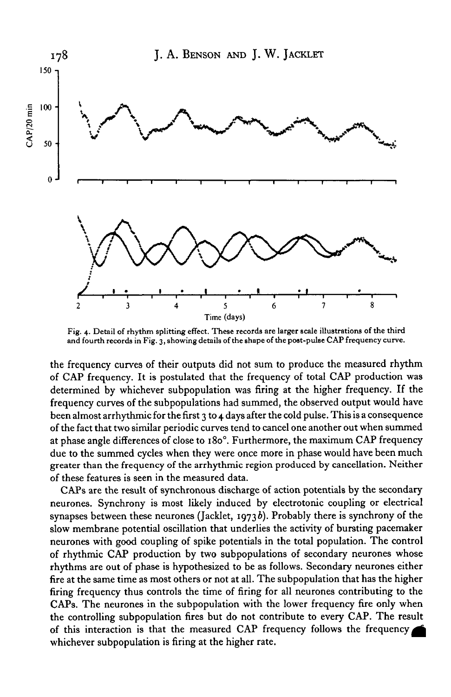

Fig. 4. Detail of rhythm splitting effect. These records are larger scale illustrations of the third and fourth records in Fig. 3, showing details of the shape of the post-pulse CAP frequency curve.

the frequency curves of their outputs did not sum to produce the measured rhythm of CAP frequency. It is postulated that the frequency of total CAP production was determined by whichever subpopulation was firing at the higher frequency. If the frequency curves of the subpopulations had summed, the observed output would have been almost arrhythmic for the first  $\gamma$  to 4 days after the cold pulse. This is a consequence of the fact that two similar periodic curves tend to cancel one another out when summed at phase angle differences of close to 180°. Furthermore, the maximum CAP frequency due to the summed cycles when they were once more in phase would have been much greater than the frequency of the arrhythmic region produced by cancellation. Neither of these features is seen in the measured data.

CAPs are the result of synchronous discharge of action potentials by the secondary neurones. Synchrony is most likely induced by electrotonic coupling or electrical synapses between these neurones (Jacklet, 1973b). Probably there is synchrony of the slow membrane potential oscillation that underlies the activity of bursting pacemaker neurones with good coupling of spike potentials in the total population. The control of rhythmic CAP production by two subpopulations of secondary neurones whose rhythms are out of phase is hypothesized to be as follows. Secondary neurones either fire at the same time as most others or not at all. The subpopulation that has the higher firing frequency thus controls the time of firing for all neurones contributing to the CAPs. The neurones in the subpopulation with the lower frequency fire only when the controlling subpopulation fires but do not contribute to every CAP. The result of this interaction is that the measured CAP frequency follows the frequency whichever subpopulation is firing at the higher rate.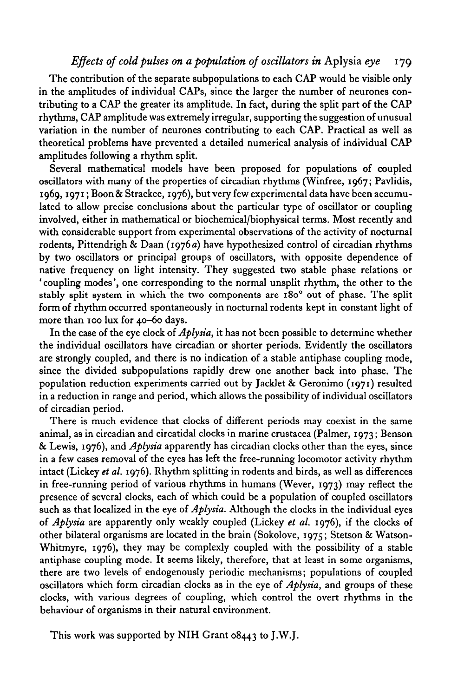# *Effects of cold pulses on a population of oscillators in* Aplysia *eye* 179

The contribution of the separate subpopulations to each CAP would be visible only in the amplitudes of individual CAPs, since the larger the number of neurones contributing to a CAP the greater its amplitude. In fact, during the split part of the CAP rhythms, CAP amplitude was extremely irregular, supporting the suggestion of unusual variation in the number of neurones contributing to each CAP. Practical as well as theoretical problems have prevented a detailed numerical analysis of individual CAP amplitudes following a rhythm split.

Several mathematical models have been proposed for populations of coupled oscillators with many of the properties of circadian rhythms (Winfree, 1967; Pavlidis, 1969,1971; Boon & Strackee, 1976), but very few experimental data have been accumulated to allow precise conclusions about the particular type of oscillator or coupling involved, either in mathematical or biochemical/biophysical terms. Most recently and with considerable support from experimental observations of the activity of nocturnal rodents, Pittendrigh & Daan (1976*a*) have hypothesized control of circadian rhythms by two oscillators or principal groups of oscillators, with opposite dependence of native frequency on light intensity. They suggested two stable phase relations or ' coupling modes', one corresponding to the normal unsplit rhythm, the other to the stably split system in which the two components are  $180^\circ$  out of phase. The split form of rhythm occurred spontaneously in nocturnal rodents kept in constant light of more than 100 lux for 40-60 days.

In the case of the eye clock of *Aplysia,* it has not been possible to determine whether the individual oscillators have circadian or shorter periods. Evidently the oscillators are strongly coupled, and there is no indication of a stable antiphase coupling mode, since the divided subpopulations rapidly drew one another back into phase. The population reduction experiments carried out by Jacklet & Geronimo (1971) resulted in a reduction in range and period, which allows the possibility of individual oscillators of circadian period.

There is much evidence that clocks of different periods may coexist in the same animal, as in circadian and circatidal clocks in marine Crustacea (Palmer, 1973; Benson & Lewis, 1976), and *Aplysia* apparently has circadian clocks other than the eyes, since in a few cases removal of the eyes has left the free-running locomotor activity rhythm intact (Lickey *et al.* 1976). Rhythm splitting in rodents and birds, as well as differences in free-running period of various rhythms in humans (Wever, 1973) may reflect the presence of several clocks, each of which could be a population of coupled oscillators such as that localized in the eye of *Aplysia.* Although the clocks in the individual eyes of *Aplysia* are apparently only weakly coupled (Lickey *et al.* 1976), if the clocks of other bilateral organisms are located in the brain (Sokolove, 1975; Stetson & Watson-Whitmyre, 1976), they may be complexly coupled with the possibility of a stable antiphase coupling mode. It seems likely, therefore, that at least in some organisms, there are two levels of endogenously periodic mechanisms; populations of coupled oscillators which form circadian clocks as in the eye of *Aplysia,* and groups of these clocks, with various degrees of coupling, which control the overt rhythms in the behaviour of organisms in their natural environment.

This work was supported by NIH Grant 08443 to J.W.J.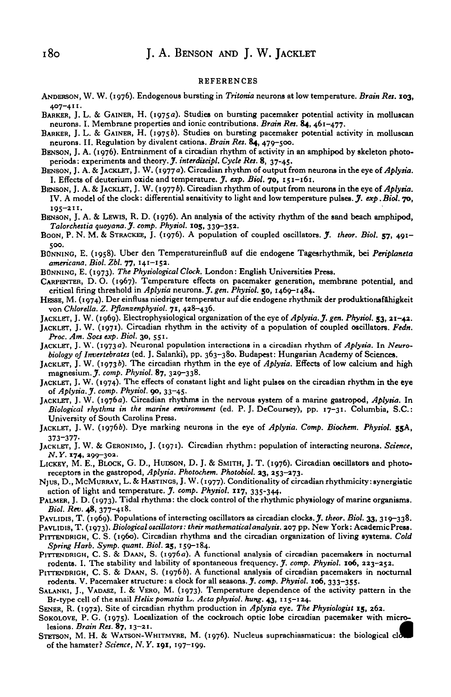#### REFERENCES

- ANDERSON, W. W. (1976). Endogenous bursting in *TriUnria* neurons at low temperature. *Brain Ret.* **103,** 407-411.
- BARKER, J. L. & GAINER, H. (1975a). Studies on bursting pacemaker potential activity in molluscan neurons. I. Membrane properties and ionic contributions. *Brain Ret.* 84, 461-477.
- BARKER, J. L. & GAINER, H. (19756). Studies on bursting pacemaker potential activity in molluscan neurons. II. Regulation by divalent cations. *Brain Ret.* 84, 479-500.
- BENSON, J. A. (1976). Entrainment of a circadian rhythm of activity in an amphipod by skeleton photoperiods: experiments and theory. J'. *interditcipl. Cycle Ret.* 8, 37-45.
- BENSON, J. A. & JACKLET, J. W. (1977 a). Orcadian rhythm of output from neurons in the eye *of Aplytia.* I. Effects of deuterium oxide and temperature. *J. exp. Biol.* **70,** 151-161.
- BENSON, J. A. & JACKLET, J. W. (1977b). Circadian rhythm of output from neurons in the eye of Aplysia. IV. A model of the clock: differential sensitivity to light and low temperature pulses. *J. exp. Biol.* **70,** 195-211.
- BENSON, J. A. & LEWIS, R. D. (1976). An analysis of the activity rhythm of the sand beach amphipod, *Talorchettia qtioyana.J. comp. Phytiol.* **105,** 330-352.
- BOON, P. N. M. & STRACKEE, J. (1976). A population of coupled oscillators. *J. theor. Biol.* **57,** 491- 500.
- BONNINO, E. (1958). Uber den TemperatureinfluB auf die endogene Tagesrhythmik, bei *Periplaneta americana. Biol. Zbl.* **77,** 141-153.
- BONNING, E. (1973). *The Physiological Clock.* London: English Universities Press.
- CARPENTER, D. O. (1067). Temperature effects on pacemaker generation, membrane potential, and critical firing threshold in *Aplysia* neurons. *J. gen. Physiol.* 50, 1469-1484.
- HESSE, M. (1974). Der einfluss niedriger temperatur auf die endogene rhythmik der produktionsf&higkeit von *ChloreUa. Z. Pflanzenphytiol.* **71,** 428-436.
- JACKLET, J. W. (1969). Electrophysiological organization of the eye of *Aplytia. J. gen. Phytiol.* **53, 21-43.**
- JACKLET, J. W. (1971). Circadian rhythm in the activity of a population of coupled oscillators. *Fedn. Proc. Am. Soct exp. Biol.* **30,** 551.
- JACKLET, J. W. (1973a). Neuronal population interactions in a circadian rhythm of *Aplytia.* In *Neurobiology of Invertebratet* (ed. J. Salanki), pp. 363-380. Budapest: Hungarian Academy of Sciences.
- JACKLBT, J. W. (19736). The circadian rhythm in the eye of *Aplytia.* Effects of low calcium and high magnesium. *J. comp. Phytiol.* 87, 320-338.
- JACKLET, J. W. (1974). The effects of constant light and light pulses on the circadian rhythm in the eye *of Aplytia. J. comp. Phytiol.* **90,** 33-45.
- JACKLET, J. W. (1976a). Circadian rhythms in the nervous system of a marine gastropod, *Aplytia.* In *Biological rhythmt in the marine environment* (ed. P. J. DeCoursey), pp. 17-31. Columbia, S.C.: University of South Carolina Press.
- JACKLET, J. W. (19766). Dye marking neurons in the eye of *Aplytia. Comp. Biochem. Phytiol.* **55A,** 373-377-
- JACKLET, J. W. & GERONIMO, J. (1971). Circadian rhythm: population of interacting neurons. *Science, N. Y.* **174,** 399-303.
- LICKEY, M. E., BLOCK, G. D., HUDSON, D. J. & SMITH, J. T. (1976). Circadian oscillators and photo-receptors in the gastropod, Aplysia. Photochem. Photobiol. 23, 253-273.
- NJUS, D., McMURRAY, L. & HASTINGS, J. W. (1977). Conditionality of circadian rhythmicity: synergistic<br>action of light and temperature. J. comp. Physiol. 117, 335-344.<br>PALMER, J. D. (1973). Tidal rhythms: the clock control
- 
- 
- 
- PITTENDRIGH, C. S. (1960). Circadian rhythms and the circadian organization of living systems. Cold Spring Harb. Symp. quant. Biol. 25, 159-184.
- PITTENDRIGH, C. S. & DAAN, S. (1976a). A functional analysis of circadian pacemakers in nocturnal rodents. I. The stability and lability of spontaneous frequency. *J. comp. Phytiol.* **106,** 223-252.
- PITTENDRIGH, C. S. & DAAN, S. (19766). A functional analysis of circadian pacemakers in nocturnal rodents. V. Pacemaker structure: a clock for all seasons. J'. *comp. Phytiol.* **xo6,** 333-355.
- SALANKI, J., VADASZ, I. & VERO, M. (1973). Temperature dependence of the activity pattern in the Br-type cell of the snail *Helix pomatia* L. *Acta phytiol. hung.* **43,** 115-124.
- SENER, R. (1972). Site of circadian rhythm production in *Aplytia* eye. *The Phytiologitt* **15,** 262.
- SOKOLOVE, P. G. (1975). Localization of the cockroach optic lobe circadian pacemaker with micro-<br>lesions. *Brain Res*. 87, 13-21.
- STETSON, M. H. & WATSON-WHITMYRE, M. (1976). Nucleus suprachiasmaticus: the biological of the hamster? *Science, N.Y.* **191,** 197-199.